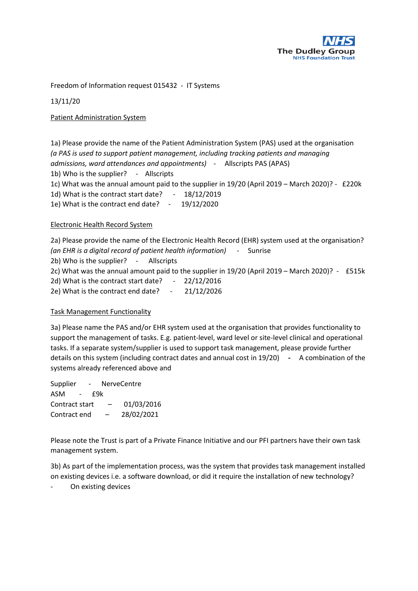

Freedom of Information request 015432 - IT Systems

13/11/20

Patient Administration System

1a) Please provide the name of the Patient Administration System (PAS) used at the organisation *(a PAS is used to support patient management, including tracking patients and managing admissions, ward attendances and appointments)* - Allscripts PAS (APAS) 1b) Who is the supplier? - Allscripts 1c) What was the annual amount paid to the supplier in 19/20 (April 2019 – March 2020)? - £220k 1d) What is the contract start date? - 18/12/2019 1e) What is the contract end date? - 19/12/2020

## Electronic Health Record System

2a) Please provide the name of the Electronic Health Record (EHR) system used at the organisation? *(an EHR is a digital record of patient health information)* - Sunrise 2b) Who is the supplier? - Allscripts 2c) What was the annual amount paid to the supplier in 19/20 (April 2019 – March 2020)? - £515k 2d) What is the contract start date? - 22/12/2016 2e) What is the contract end date? - 21/12/2026

## Task Management Functionality

3a) Please name the PAS and/or EHR system used at the organisation that provides functionality to support the management of tasks. E.g. patient-level, ward level or site-level clinical and operational tasks. If a separate system/supplier is used to support task management, please provide further details on this system (including contract dates and annual cost in 19/20) **-** A combination of the systems already referenced above and

Supplier - NerveCentre ASM - £9k Contract start – 01/03/2016 Contract end – 28/02/2021

Please note the Trust is part of a Private Finance Initiative and our PFI partners have their own task management system.

3b) As part of the implementation process, was the system that provides task management installed on existing devices i.e. a software download, or did it require the installation of new technology?

On existing devices